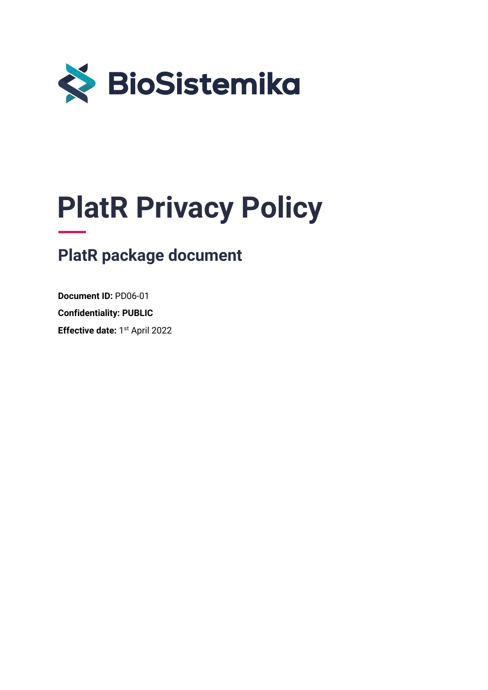

# **PlatR Privacy Policy**

# **PlatR package document**

**Document ID:** PD06-01 **Confidentiality: PUBLIC Effective date:** 1<sup>st</sup> April 2022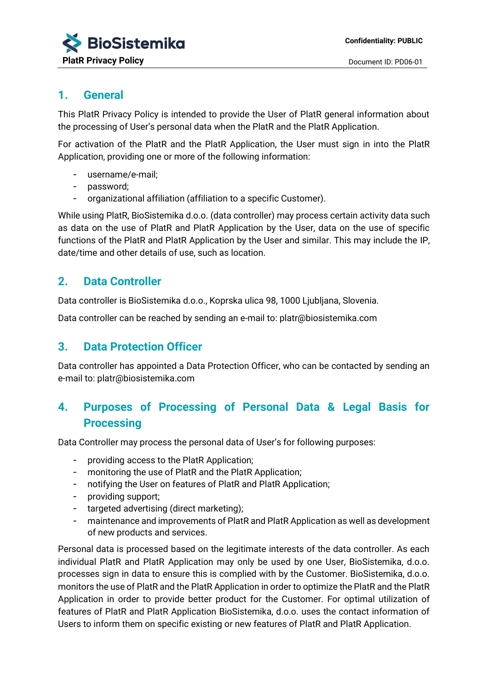#### **1. General**

This PlatR Privacy Policy is intended to provide the User of PlatR general information about the processing of User's personal data when the PlatR and the PlatR Application.

For activation of the PlatR and the PlatR Application, the User must sign in into the PlatR Application, providing one or more of the following information:

- username/e-mail;
- password;
- organizational affiliation (affiliation to a specific Customer).

While using PlatR, BioSistemika d.o.o. (data controller) may process certain activity data such as data on the use of PlatR and PlatR Application by the User, data on the use of specific functions of the PlatR and PlatR Application by the User and similar. This may include the IP, date/time and other details of use, such as location.

#### **2. Data Controller**

Data controller is BioSistemika d.o.o., Koprska ulica 98, 1000 Ljubljana, Slovenia.

Data controller can be reached by sending an e-mail to: platr@biosistemika.com

#### **3. Data Protection Officer**

Data controller has appointed a Data Protection Officer, who can be contacted by sending an e-mail to: platr@biosistemika.com

## **4. Purposes of Processing of Personal Data & Legal Basis for Processing**

Data Controller may process the personal data of User's for following purposes:

- providing access to the PlatR Application;
- monitoring the use of PlatR and the PlatR Application;
- notifying the User on features of PlatR and PlatR Application;
- providing support;
- targeted advertising (direct marketing);
- maintenance and improvements of PlatR and PlatR Application as well as development of new products and services.

Personal data is processed based on the legitimate interests of the data controller. As each individual PlatR and PlatR Application may only be used by one User, BioSistemika, d.o.o. processes sign in data to ensure this is complied with by the Customer. BioSistemika, d.o.o. monitors the use of PlatR and the PlatR Application in order to optimize the PlatR and the PlatR Application in order to provide better product for the Customer. For optimal utilization of features of PlatR and PlatR Application BioSistemika, d.o.o. uses the contact information of Users to inform them on specific existing or new features of PlatR and PlatR Application.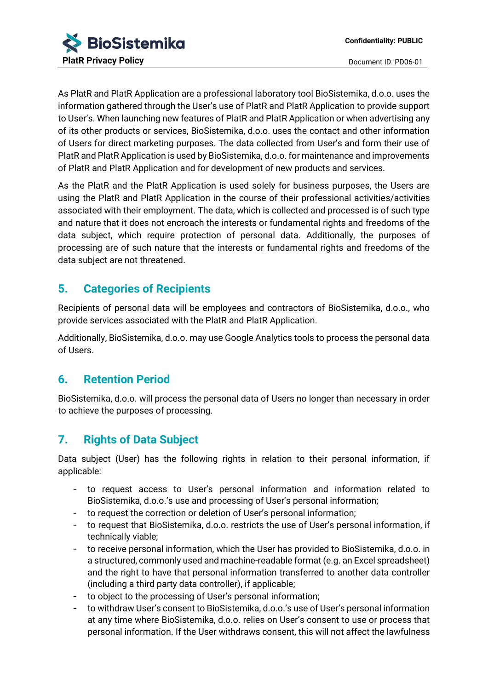As PlatR and PlatR Application are a professional laboratory tool BioSistemika, d.o.o. uses the information gathered through the User's use of PlatR and PlatR Application to provide support to User's. When launching new features of PlatR and PlatR Application or when advertising any of its other products or services, BioSistemika, d.o.o. uses the contact and other information of Users for direct marketing purposes. The data collected from User's and form their use of PlatR and PlatR Application is used by BioSistemika, d.o.o. for maintenance and improvements of PlatR and PlatR Application and for development of new products and services.

As the PlatR and the PlatR Application is used solely for business purposes, the Users are using the PlatR and PlatR Application in the course of their professional activities/activities associated with their employment. The data, which is collected and processed is of such type and nature that it does not encroach the interests or fundamental rights and freedoms of the data subject, which require protection of personal data. Additionally, the purposes of processing are of such nature that the interests or fundamental rights and freedoms of the data subject are not threatened.

### **5. Categories of Recipients**

Recipients of personal data will be employees and contractors of BioSistemika, d.o.o., who provide services associated with the PlatR and PlatR Application.

Additionally, BioSistemika, d.o.o. may use Google Analytics tools to process the personal data of Users.

### **6. Retention Period**

BioSistemika, d.o.o. will process the personal data of Users no longer than necessary in order to achieve the purposes of processing.

# **7. Rights of Data Subject**

Data subject (User) has the following rights in relation to their personal information, if applicable:

- to request access to User's personal information and information related to BioSistemika, d.o.o.'s use and processing of User's personal information;
- to request the correction or deletion of User's personal information;
- to request that BioSistemika, d.o.o. restricts the use of User's personal information, if technically viable;
- to receive personal information, which the User has provided to BioSistemika, d.o.o. in a structured, commonly used and machine-readable format (e.g. an Excel spreadsheet) and the right to have that personal information transferred to another data controller (including a third party data controller), if applicable;
- to object to the processing of User's personal information;
- to withdraw User's consent to BioSistemika, d.o.o.'s use of User's personal information at any time where BioSistemika, d.o.o. relies on User's consent to use or process that personal information. If the User withdraws consent, this will not affect the lawfulness